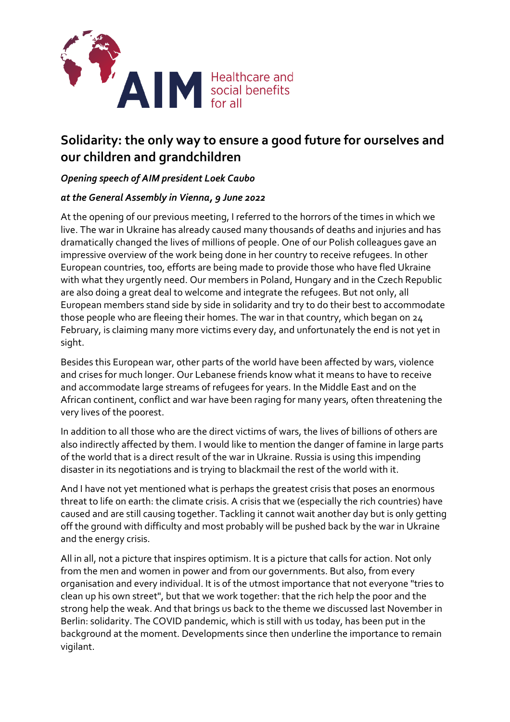

## **Solidarity: the only way to ensure a good future for ourselves and our children and grandchildren**

## *Opening speech of AIM president Loek Caubo*

## *at the General Assembly in Vienna, 9 June 2022*

At the opening of our previous meeting, I referred to the horrors of the times in which we live. The war in Ukraine has already caused many thousands of deaths and injuries and has dramatically changed the lives of millions of people. One of our Polish colleagues gave an impressive overview of the work being done in her country to receive refugees. In other European countries, too, efforts are being made to provide those who have fled Ukraine with what they urgently need. Our members in Poland, Hungary and in the Czech Republic are also doing a great deal to welcome and integrate the refugees. But not only, all European members stand side by side in solidarity and try to do their best to accommodate those people who are fleeing their homes. The war in that country, which began on 24 February, is claiming many more victims every day, and unfortunately the end is not yet in sight.

Besides this European war, other parts of the world have been affected by wars, violence and crises for much longer. Our Lebanese friends know what it means to have to receive and accommodate large streams of refugees for years. In the Middle East and on the African continent, conflict and war have been raging for many years, often threatening the very lives of the poorest.

In addition to all those who are the direct victims of wars, the lives of billions of others are also indirectly affected by them. I would like to mention the danger of famine in large parts of the world that is a direct result of the war in Ukraine. Russia is using this impending disaster in its negotiations and is trying to blackmail the rest of the world with it.

And I have not yet mentioned what is perhaps the greatest crisis that poses an enormous threat to life on earth: the climate crisis. A crisis that we (especially the rich countries) have caused and are still causing together. Tackling it cannot wait another day but is only getting off the ground with difficulty and most probably will be pushed back by the war in Ukraine and the energy crisis.

All in all, not a picture that inspires optimism. It is a picture that calls for action. Not only from the men and women in power and from our governments. But also, from every organisation and every individual. It is of the utmost importance that not everyone "tries to clean up his own street", but that we work together: that the rich help the poor and the strong help the weak. And that brings us back to the theme we discussed last November in Berlin: solidarity. The COVID pandemic, which is still with us today, has been put in the background at the moment. Developments since then underline the importance to remain vigilant.